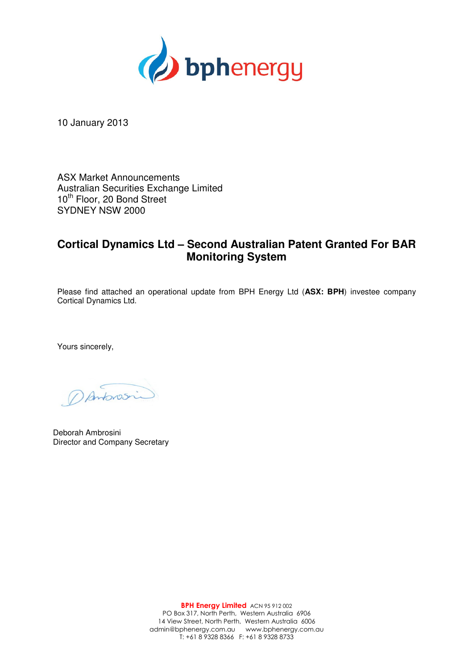

10 January 2013

ASX Market Announcements Australian Securities Exchange Limited 10<sup>th</sup> Floor, 20 Bond Street SYDNEY NSW 2000

## **Cortical Dynamics Ltd – Second Australian Patent Granted For BAR Monitoring System**

Please find attached an operational update from BPH Energy Ltd (**ASX: BPH**) investee company Cortical Dynamics Ltd.

Yours sincerely,

DAntonosin

Deborah Ambrosini Director and Company Secretary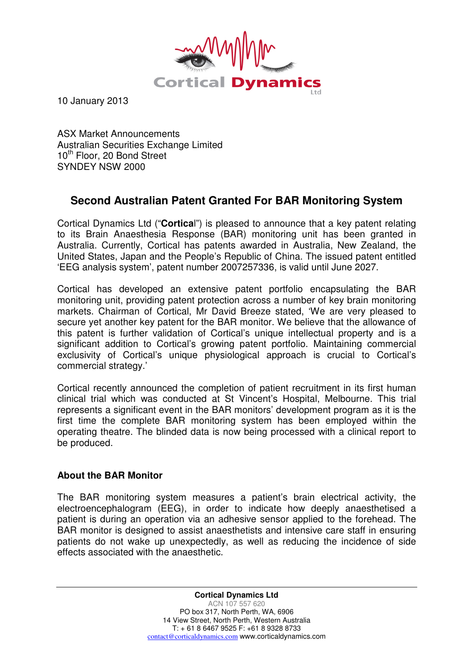

10 January 2013

ASX Market Announcements Australian Securities Exchange Limited 10<sup>th</sup> Floor, 20 Bond Street SYNDEY NSW 2000

## **Second Australian Patent Granted For BAR Monitoring System**

Cortical Dynamics Ltd ("**Cortica**l") is pleased to announce that a key patent relating to its Brain Anaesthesia Response (BAR) monitoring unit has been granted in Australia. Currently, Cortical has patents awarded in Australia, New Zealand, the United States, Japan and the People's Republic of China. The issued patent entitled 'EEG analysis system', patent number 2007257336, is valid until June 2027.

Cortical has developed an extensive patent portfolio encapsulating the BAR monitoring unit, providing patent protection across a number of key brain monitoring markets. Chairman of Cortical, Mr David Breeze stated, 'We are very pleased to secure yet another key patent for the BAR monitor. We believe that the allowance of this patent is further validation of Cortical's unique intellectual property and is a significant addition to Cortical's growing patent portfolio. Maintaining commercial exclusivity of Cortical's unique physiological approach is crucial to Cortical's commercial strategy.'

Cortical recently announced the completion of patient recruitment in its first human clinical trial which was conducted at St Vincent's Hospital, Melbourne. This trial represents a significant event in the BAR monitors' development program as it is the first time the complete BAR monitoring system has been employed within the operating theatre. The blinded data is now being processed with a clinical report to be produced.

## **About the BAR Monitor**

The BAR monitoring system measures a patient's brain electrical activity, the electroencephalogram (EEG), in order to indicate how deeply anaesthetised a patient is during an operation via an adhesive sensor applied to the forehead. The BAR monitor is designed to assist anaesthetists and intensive care staff in ensuring patients do not wake up unexpectedly, as well as reducing the incidence of side effects associated with the anaesthetic.